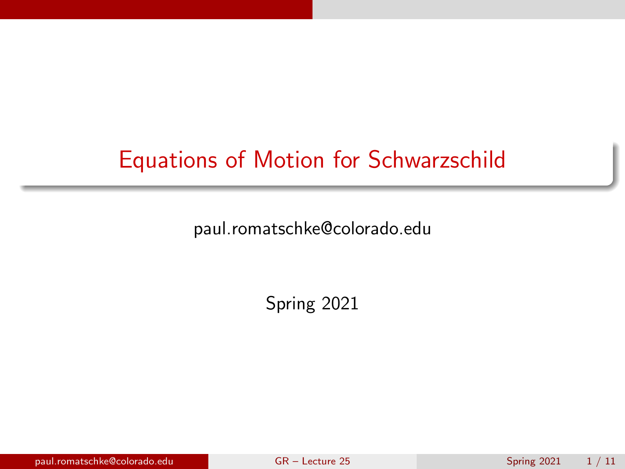# <span id="page-0-0"></span>Equations of Motion for Schwarzschild

paul.romatschke@colorado.edu

Spring 2021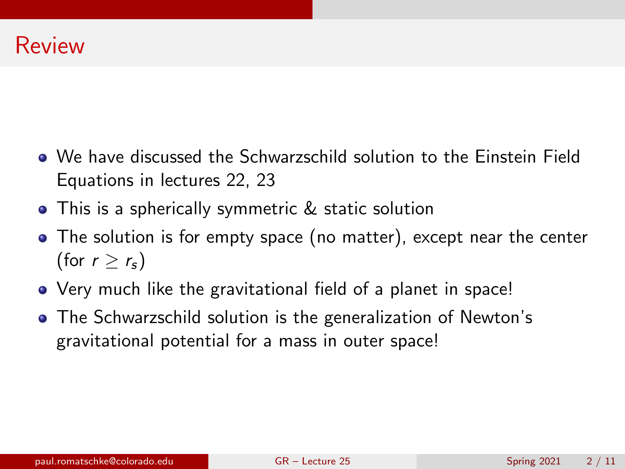- We have discussed the Schwarzschild solution to the Einstein Field Equations in lectures 22, 23
- This is a spherically symmetric & static solution
- The solution is for empty space (no matter), except near the center (for  $r > r_s$ )
- Very much like the gravitational field of a planet in space!
- The Schwarzschild solution is the generalization of Newton's gravitational potential for a mass in outer space!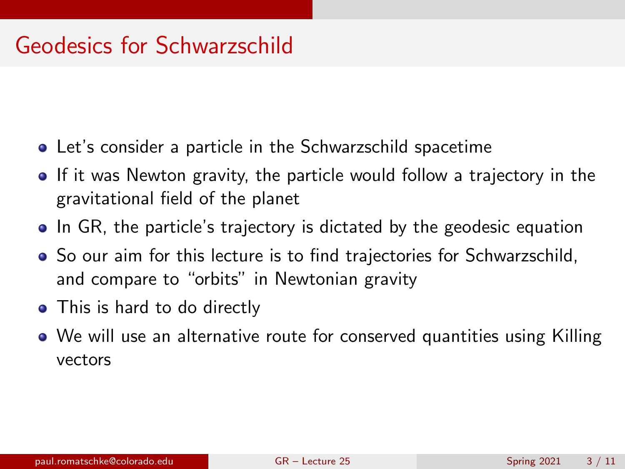## Geodesics for Schwarzschild

- Let's consider a particle in the Schwarzschild spacetime
- If it was Newton gravity, the particle would follow a trajectory in the gravitational field of the planet
- In GR, the particle's trajectory is dictated by the geodesic equation
- So our aim for this lecture is to find trajectories for Schwarzschild, and compare to "orbits" in Newtonian gravity
- This is hard to do directly
- We will use an alternative route for conserved quantities using Killing vectors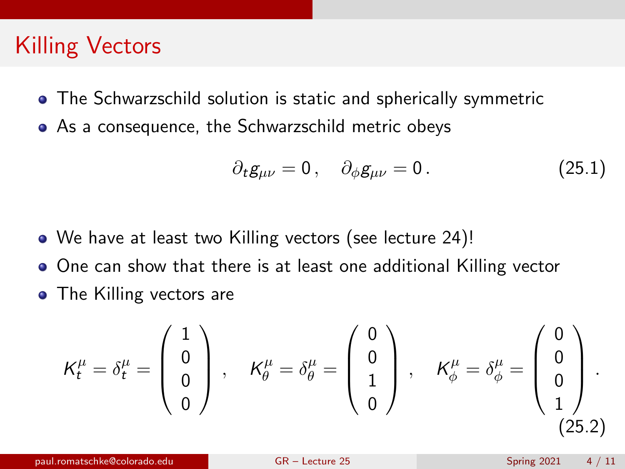# Killing Vectors

- The Schwarzschild solution is static and spherically symmetric
- As a consequence, the Schwarzschild metric obeys

$$
\partial_t g_{\mu\nu} = 0 \,, \quad \partial_\phi g_{\mu\nu} = 0 \,. \tag{25.1}
$$

- We have at least two Killing vectors (see lecture 24)!
- One can show that there is at least one additional Killing vector
- The Killing vectors are

$$
\mathcal{K}_t^{\mu} = \delta_t^{\mu} = \begin{pmatrix} 1 \\ 0 \\ 0 \\ 0 \end{pmatrix}, \quad \mathcal{K}_{\theta}^{\mu} = \delta_{\theta}^{\mu} = \begin{pmatrix} 0 \\ 0 \\ 1 \\ 0 \end{pmatrix}, \quad \mathcal{K}_{\phi}^{\mu} = \delta_{\phi}^{\mu} = \begin{pmatrix} 0 \\ 0 \\ 0 \\ 1 \end{pmatrix}.
$$
\n(25.2)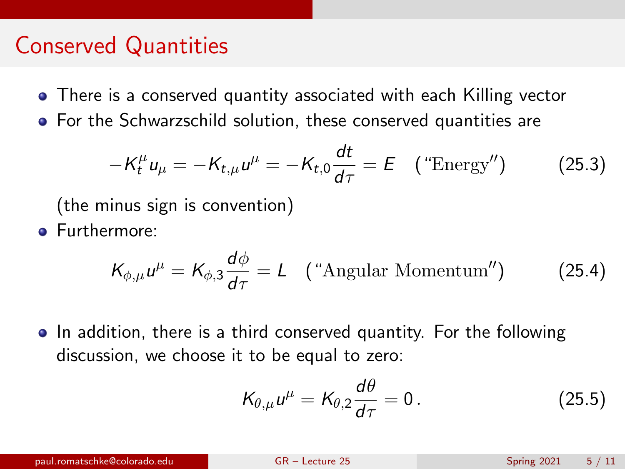#### Conserved Quantities

- There is a conserved quantity associated with each Killing vector
- For the Schwarzschild solution, these conserved quantities are

$$
-K_t^{\mu}u_{\mu} = -K_{t,\mu}u^{\mu} = -K_{t,0}\frac{dt}{d\tau} = E \quad \text{("Energy")} \tag{25.3}
$$

(the minus sign is convention)

**•** Furthermore:

$$
K_{\phi,\mu}u^{\mu} = K_{\phi,3}\frac{d\phi}{d\tau} = L \quad \text{(``Angular Momentum'')} \tag{25.4}
$$

• In addition, there is a third conserved quantity. For the following discussion, we choose it to be equal to zero:

$$
K_{\theta,\mu}u^{\mu}=K_{\theta,2}\frac{d\theta}{d\tau}=0.
$$
 (25.5)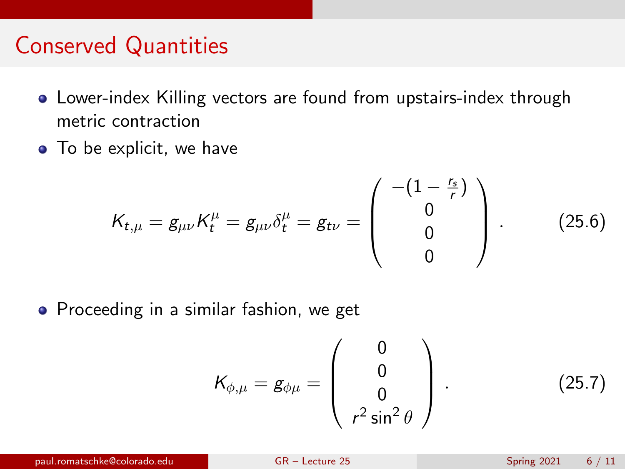### Conserved Quantities

- Lower-index Killing vectors are found from upstairs-index through metric contraction
- To be explicit, we have

$$
K_{t,\mu} = g_{\mu\nu} K_t^{\mu} = g_{\mu\nu} \delta_t^{\mu} = g_{t\nu} = \begin{pmatrix} -(1 - \frac{r_s}{r}) \\ 0 \\ 0 \\ 0 \end{pmatrix} .
$$
 (25.6)

**•** Proceeding in a similar fashion, we get

$$
K_{\phi,\mu} = g_{\phi\mu} = \begin{pmatrix} 0 \\ 0 \\ 0 \\ r^2 \sin^2 \theta \end{pmatrix} .
$$
 (25.7)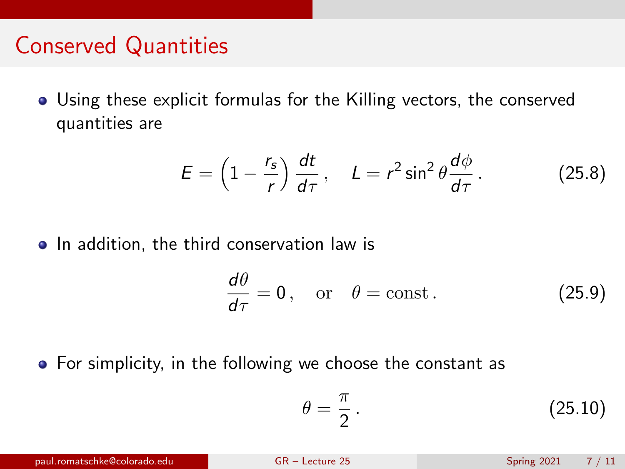### Conserved Quantities

Using these explicit formulas for the Killing vectors, the conserved quantities are

$$
E = \left(1 - \frac{r_s}{r}\right) \frac{dt}{d\tau}, \quad L = r^2 \sin^2 \theta \frac{d\phi}{d\tau}.
$$
 (25.8)

• In addition, the third conservation law is

$$
\frac{d\theta}{d\tau} = 0, \quad \text{or} \quad \theta = \text{const.} \tag{25.9}
$$

• For simplicity, in the following we choose the constant as

$$
\theta = \frac{\pi}{2} \,. \tag{25.10}
$$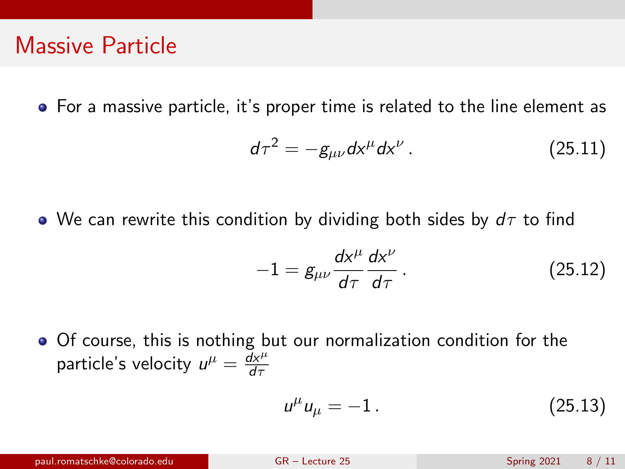### Massive Particle

For a massive particle, it's proper time is related to the line element as

$$
d\tau^2 = -g_{\mu\nu}dx^{\mu}dx^{\nu}. \qquad (25.11)
$$

• We can rewrite this condition by dividing both sides by  $d\tau$  to find

$$
-1 = g_{\mu\nu} \frac{dx^{\mu}}{d\tau} \frac{dx^{\nu}}{d\tau}.
$$
 (25.12)

Of course, this is nothing but our normalization condition for the particle's velocity  $u^{\mu} = \frac{dx^{\mu}}{dx^{\tau}}$ dτ

$$
u^{\mu}u_{\mu} = -1.
$$
 (25.13)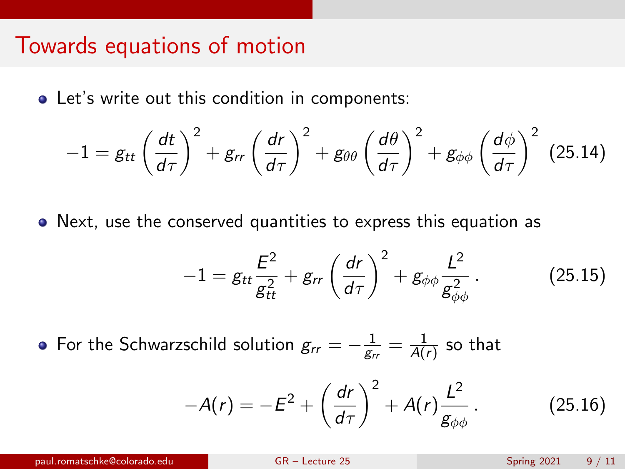#### Towards equations of motion

Let's write out this condition in components:

$$
-1 = g_{tt} \left(\frac{dt}{d\tau}\right)^2 + g_{rr} \left(\frac{dr}{d\tau}\right)^2 + g_{\theta\theta} \left(\frac{d\theta}{d\tau}\right)^2 + g_{\phi\phi} \left(\frac{d\phi}{d\tau}\right)^2 \tag{25.14}
$$

Next, use the conserved quantities to express this equation as

$$
-1 = g_{tt} \frac{E^2}{g_{tt}^2} + g_{rr} \left(\frac{dr}{d\tau}\right)^2 + g_{\phi\phi} \frac{L^2}{g_{\phi\phi}^2} \,. \tag{25.15}
$$

For the Schwarzschild solution  $g_{rr} = -\frac{1}{g_r}$  $\frac{1}{\mathsf{g}_{rr}}=\frac{1}{\mathsf{A}(\mathsf{g})}$  $\frac{1}{A(r)}$  so that

$$
-A(r)=-E^2+\left(\frac{dr}{d\tau}\right)^2+A(r)\frac{L^2}{g_{\phi\phi}}.
$$
 (25.16)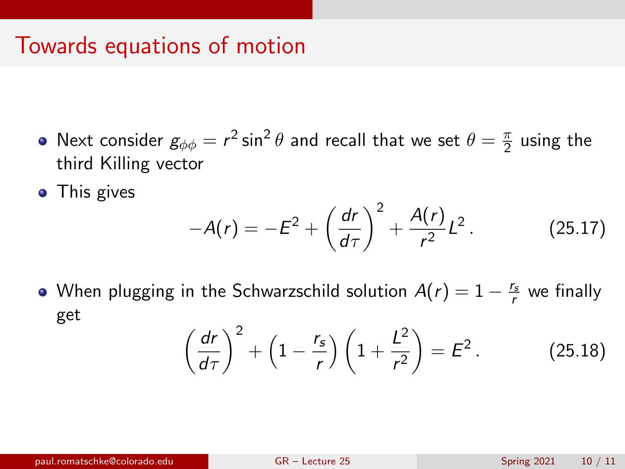### Towards equations of motion

- Next consider  $g_{\phi\phi}=r^2\sin^2\theta$  and recall that we set  $\theta=\frac{\pi}{2}$  $\frac{\pi}{2}$  using the third Killing vector
- This gives

$$
-A(r) = -E^2 + \left(\frac{dr}{d\tau}\right)^2 + \frac{A(r)}{r^2}L^2.
$$
 (25.17)

When plugging in the Schwarzschild solution  $A(r) = 1 - \frac{r_s}{r}$  we finally get

$$
\left(\frac{dr}{d\tau}\right)^2 + \left(1 - \frac{r_s}{r}\right)\left(1 + \frac{L^2}{r^2}\right) = E^2.
$$
 (25.18)